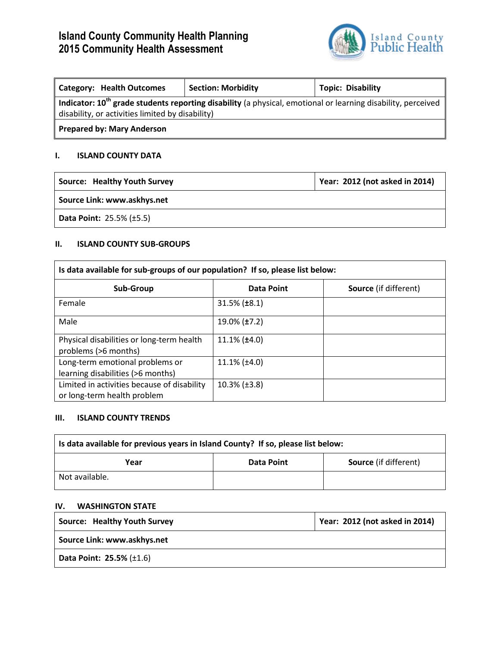# **Island County Community Health Planning 2015 Community Health Assessment**



| <b>Category: Health Outcomes</b>                                                                                         | <b>Section: Morbidity</b> | <b>Topic: Disability</b> |
|--------------------------------------------------------------------------------------------------------------------------|---------------------------|--------------------------|
| Indicator: 10 <sup>th</sup> grade students reporting disability (a physical, emotional or learning disability, perceived |                           |                          |
| disability, or activities limited by disability)                                                                         |                           |                          |
| <b>Prepared by: Mary Anderson</b>                                                                                        |                           |                          |

## **I. ISLAND COUNTY DATA**

| Source: Healthy Youth Survey                   | Year: 2012 (not asked in 2014) |  |
|------------------------------------------------|--------------------------------|--|
| Source Link: www.askhys.net                    |                                |  |
| <b>Data Point: 25.5% (<math>\pm</math>5.5)</b> |                                |  |

## **II. ISLAND COUNTY SUB-GROUPS**

| Is data available for sub-groups of our population? If so, please list below: |                        |                              |  |
|-------------------------------------------------------------------------------|------------------------|------------------------------|--|
| Sub-Group                                                                     | Data Point             | <b>Source</b> (if different) |  |
| Female                                                                        | $31.5\%$ ( $\pm 8.1$ ) |                              |  |
| Male                                                                          | 19.0% (±7.2)           |                              |  |
| Physical disabilities or long-term health<br>problems (>6 months)             | $11.1\%$ ( $\pm 4.0$ ) |                              |  |
| Long-term emotional problems or<br>learning disabilities (>6 months)          | $11.1\%$ ( $\pm 4.0$ ) |                              |  |
| Limited in activities because of disability<br>or long-term health problem    | $10.3\%$ ( $\pm 3.8$ ) |                              |  |

## **III. ISLAND COUNTY TRENDS**

| Is data available for previous years in Island County? If so, please list below: |            |                              |  |
|----------------------------------------------------------------------------------|------------|------------------------------|--|
| Year                                                                             | Data Point | <b>Source</b> (if different) |  |
| Not available.                                                                   |            |                              |  |

## **IV. WASHINGTON STATE**

| <b>Source: Healthy Youth Survey</b> | Year: 2012 (not asked in 2014) |  |
|-------------------------------------|--------------------------------|--|
| Source Link: www.askhys.net         |                                |  |
| Data Point: $25.5\%$ ( $\pm 1.6$ )  |                                |  |